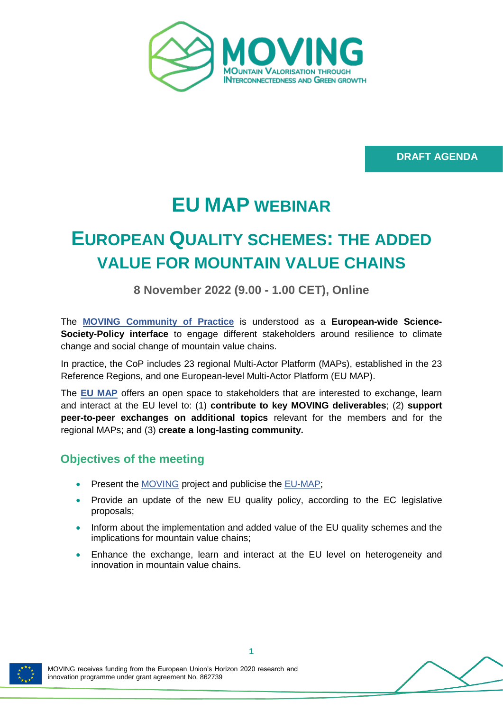

**DRAFT AGENDA**

# **EU MAP WEBINAR**

# **EUROPEAN QUALITY SCHEMES: THE ADDED VALUE FOR MOUNTAIN VALUE CHAINS**

**8 November 2022 (9.00 - 1.00 CET), Online**

The **[MOVING Community of Practice](https://www.moving-h2020.eu/community-of-practice/)** is understood as a **European-wide Science-Society-Policy interface** to engage different stakeholders around resilience to climate change and social change of mountain value chains.

In practice, the CoP includes 23 regional Multi-Actor Platform (MAPs), established in the 23 Reference Regions, and one European-level Multi-Actor Platform (EU MAP).

The **[EU MAP](https://www.moving-h2020.eu/eu-multi-actor-platform/)** offers an open space to stakeholders that are interested to exchange, learn and interact at the EU level to: (1) **contribute to key MOVING deliverables**; (2) **support peer-to-peer exchanges on additional topics** relevant for the members and for the regional MAPs; and (3) **create a long-lasting community.**

### **Objectives of the meeting**

- Present the [MOVING](https://www.moving-h2020.eu/) project and publicise the [EU-MAP;](https://www.moving-h2020.eu/eu-multi-actor-platform/)
- Provide an update of the new EU quality policy, according to the EC legislative proposals;
- Inform about the implementation and added value of the EU quality schemes and the implications for mountain value chains;
- Enhance the exchange, learn and interact at the EU level on heterogeneity and innovation in mountain value chains.